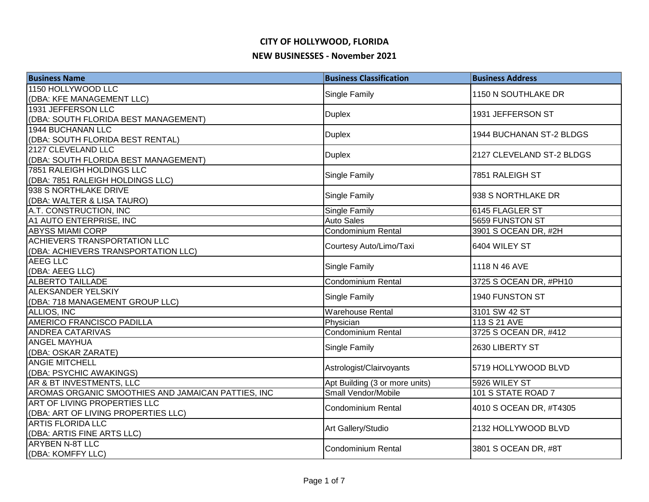| <b>Business Name</b>                               | <b>Business Classification</b>     | <b>Business Address</b>   |
|----------------------------------------------------|------------------------------------|---------------------------|
| 1150 HOLLYWOOD LLC                                 | <b>Single Family</b>               | 1150 N SOUTHLAKE DR       |
| (DBA: KFE MANAGEMENT LLC)                          |                                    |                           |
| 1931 JEFFERSON LLC                                 | <b>Duplex</b>                      | 1931 JEFFERSON ST         |
| (DBA: SOUTH FLORIDA BEST MANAGEMENT)               |                                    |                           |
| 1944 BUCHANAN LLC                                  | <b>Duplex</b>                      | 1944 BUCHANAN ST-2 BLDGS  |
| (DBA: SOUTH FLORIDA BEST RENTAL)                   |                                    |                           |
| 2127 CLEVELAND LLC                                 | <b>Duplex</b>                      | 2127 CLEVELAND ST-2 BLDGS |
| (DBA: SOUTH FLORIDA BEST MANAGEMENT)               |                                    |                           |
| 7851 RALEIGH HOLDINGS LLC                          | Single Family                      | 7851 RALEIGH ST           |
| (DBA: 7851 RALEIGH HOLDINGS LLC)                   |                                    |                           |
| 938 S NORTHLAKE DRIVE                              | Single Family                      | 938 S NORTHLAKE DR        |
| (DBA: WALTER & LISA TAURO)                         |                                    |                           |
| A.T. CONSTRUCTION, INC                             | Single Family<br><b>Auto Sales</b> | 6145 FLAGLER ST           |
| A1 AUTO ENTERPRISE, INC<br><b>ABYSS MIAMI CORP</b> | Condominium Rental                 | 5659 FUNSTON ST           |
| <b>ACHIEVERS TRANSPORTATION LLC</b>                |                                    | 3901 S OCEAN DR, #2H      |
| (DBA: ACHIEVERS TRANSPORTATION LLC)                | Courtesy Auto/Limo/Taxi            | 6404 WILEY ST             |
| <b>AEEG LLC</b>                                    |                                    |                           |
| (DBA: AEEG LLC)                                    | <b>Single Family</b>               | 1118 N 46 AVE             |
| <b>ALBERTO TAILLADE</b>                            | Condominium Rental                 | 3725 S OCEAN DR, #PH10    |
| ALEKSANDER YELSKIY                                 |                                    |                           |
| (DBA: 718 MANAGEMENT GROUP LLC)                    | Single Family                      | 1940 FUNSTON ST           |
| <b>ALLIOS, INC</b>                                 | <b>Warehouse Rental</b>            | 3101 SW 42 ST             |
| AMERICO FRANCISCO PADILLA                          | Physician                          | 113 S 21 AVE              |
| <b>ANDREA CATARIVAS</b>                            | Condominium Rental                 | 3725 S OCEAN DR, #412     |
| <b>ANGEL MAYHUA</b>                                |                                    | 2630 LIBERTY ST           |
| (DBA: OSKAR ZARATE)                                | Single Family                      |                           |
| <b>ANGIE MITCHELL</b>                              | Astrologist/Clairvoyants           | 5719 HOLLYWOOD BLVD       |
| (DBA: PSYCHIC AWAKINGS)                            |                                    |                           |
| AR & BT INVESTMENTS, LLC                           | Apt Building (3 or more units)     | 5926 WILEY ST             |
| AROMAS ORGANIC SMOOTHIES AND JAMAICAN PATTIES, INC | Small Vendor/Mobile                | 101 S STATE ROAD 7        |
| ART OF LIVING PROPERTIES LLC                       | <b>Condominium Rental</b>          | 4010 S OCEAN DR, #T4305   |
| (DBA: ART OF LIVING PROPERTIES LLC)                |                                    |                           |
| <b>ARTIS FLORIDA LLC</b>                           | Art Gallery/Studio                 | 2132 HOLLYWOOD BLVD       |
| (DBA: ARTIS FINE ARTS LLC)                         |                                    |                           |
| <b>ARYBEN N-8T LLC</b>                             | Condominium Rental                 | 3801 S OCEAN DR, #8T      |
| (DBA: KOMFFY LLC)                                  |                                    |                           |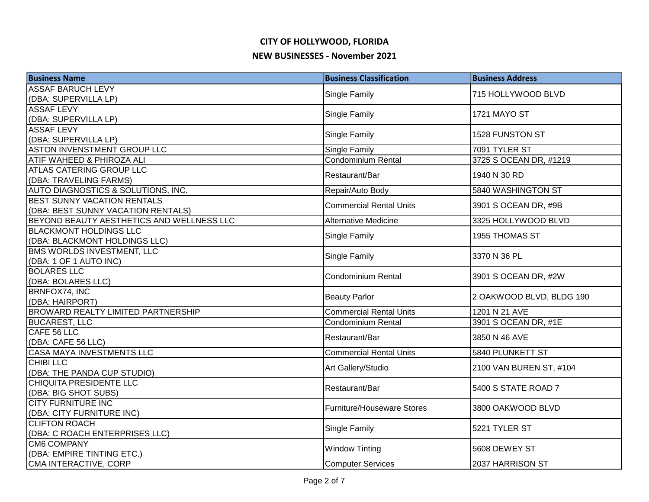| <b>Business Name</b>                                | <b>Business Classification</b>    | <b>Business Address</b>  |
|-----------------------------------------------------|-----------------------------------|--------------------------|
| <b>ASSAF BARUCH LEVY</b>                            | Single Family                     | 715 HOLLYWOOD BLVD       |
| (DBA: SUPERVILLA LP)                                |                                   |                          |
| <b>ASSAF LEVY</b>                                   | <b>Single Family</b>              | <b>1721 MAYO ST</b>      |
| (DBA: SUPERVILLA LP)                                |                                   |                          |
| <b>ASSAF LEVY</b>                                   | Single Family                     | 1528 FUNSTON ST          |
| (DBA: SUPERVILLA LP)                                |                                   |                          |
| <b>ASTON INVENSTMENT GROUP LLC</b>                  | <b>Single Family</b>              | 7091 TYLER ST            |
| ATIF WAHEED & PHIROZA ALI                           | Condominium Rental                | 3725 S OCEAN DR, #1219   |
| <b>ATLAS CATERING GROUP LLC</b>                     | Restaurant/Bar                    | 1940 N 30 RD             |
| (DBA: TRAVELING FARMS)                              |                                   |                          |
| AUTO DIAGNOSTICS & SOLUTIONS, INC.                  | Repair/Auto Body                  | 5840 WASHINGTON ST       |
| <b>BEST SUNNY VACATION RENTALS</b>                  | <b>Commercial Rental Units</b>    | 3901 S OCEAN DR, #9B     |
| (DBA: BEST SUNNY VACATION RENTALS)                  |                                   |                          |
| BEYOND BEAUTY AESTHETICS AND WELLNESS LLC           | Alternative Medicine              | 3325 HOLLYWOOD BLVD      |
| <b>BLACKMONT HOLDINGS LLC</b>                       | Single Family                     | 1955 THOMAS ST           |
| (DBA: BLACKMONT HOLDINGS LLC)                       |                                   |                          |
| <b>BMS WORLDS INVESTMENT, LLC</b>                   | Single Family                     | 3370 N 36 PL             |
| (DBA: 1 OF 1 AUTO INC)                              |                                   |                          |
| <b>BOLARES LLC</b>                                  | <b>Condominium Rental</b>         | 3901 S OCEAN DR, #2W     |
| (DBA: BOLARES LLC)                                  |                                   |                          |
| BRNFOX74, INC                                       | <b>Beauty Parlor</b>              | 2 OAKWOOD BLVD, BLDG 190 |
| (DBA: HAIRPORT)                                     |                                   |                          |
| <b>BROWARD REALTY LIMITED PARTNERSHIP</b>           | <b>Commercial Rental Units</b>    | 1201 N 21 AVE            |
| <b>BUCAREST, LLC</b>                                | <b>Condominium Rental</b>         | 3901 S OCEAN DR, #1E     |
| CAFE 56 LLC                                         | Restaurant/Bar                    | 3850 N 46 AVE            |
| (DBA: CAFE 56 LLC)                                  | <b>Commercial Rental Units</b>    |                          |
| <b>CASA MAYA INVESTMENTS LLC</b><br><b>CHIBILLC</b> |                                   | 5840 PLUNKETT ST         |
| (DBA: THE PANDA CUP STUDIO)                         | Art Gallery/Studio                | 2100 VAN BUREN ST, #104  |
| <b>CHIQUITA PRESIDENTE LLC</b>                      |                                   |                          |
| (DBA: BIG SHOT SUBS)                                | Restaurant/Bar                    | 5400 S STATE ROAD 7      |
| <b>CITY FURNITURE INC</b>                           |                                   |                          |
| (DBA: CITY FURNITURE INC)                           | <b>Furniture/Houseware Stores</b> | 3800 OAKWOOD BLVD        |
| <b>CLIFTON ROACH</b>                                |                                   |                          |
| (DBA: C ROACH ENTERPRISES LLC)                      | Single Family                     | 5221 TYLER ST            |
| <b>CM6 COMPANY</b>                                  |                                   |                          |
| (DBA: EMPIRE TINTING ETC.)                          | <b>Window Tinting</b>             | 5608 DEWEY ST            |
| CMA INTERACTIVE, CORP                               | <b>Computer Services</b>          | 2037 HARRISON ST         |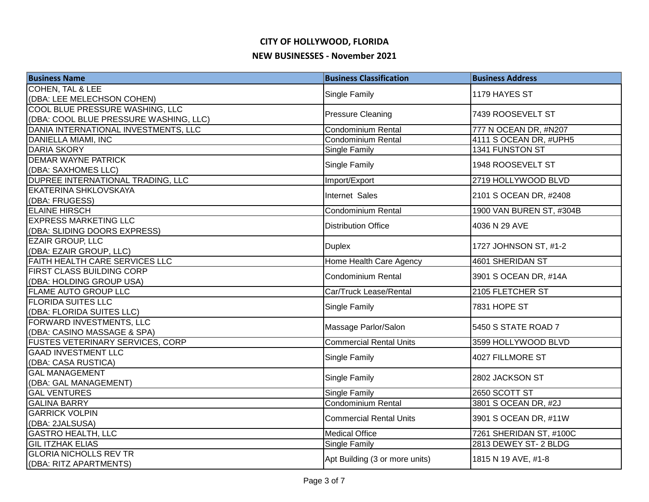| <b>Business Name</b>                         | <b>Business Classification</b>                    | <b>Business Address</b>  |
|----------------------------------------------|---------------------------------------------------|--------------------------|
| <b>COHEN, TAL &amp; LEE</b>                  | Single Family                                     | 1179 HAYES ST            |
| (DBA: LEE MELECHSON COHEN)                   |                                                   |                          |
| COOL BLUE PRESSURE WASHING, LLC              | <b>Pressure Cleaning</b>                          | 7439 ROOSEVELT ST        |
| (DBA: COOL BLUE PRESSURE WASHING, LLC)       |                                                   |                          |
| DANIA INTERNATIONAL INVESTMENTS, LLC         | <b>Condominium Rental</b>                         | 777 N OCEAN DR, #N207    |
| <b>DANIELLA MIAMI, INC</b>                   | <b>Condominium Rental</b>                         | 4111 S OCEAN DR, #UPH5   |
| <b>DARIA SKORY</b>                           | Single Family                                     | 1341 FUNSTON ST          |
| <b>DEMAR WAYNE PATRICK</b>                   | Single Family                                     | 1948 ROOSEVELT ST        |
| (DBA: SAXHOMES LLC)                          |                                                   |                          |
| DUPREE INTERNATIONAL TRADING, LLC            | Import/Export                                     | 2719 HOLLYWOOD BLVD      |
| <b>EKATERINA SHKLOVSKAYA</b>                 | Internet Sales                                    | 2101 S OCEAN DR, #2408   |
| (DBA: FRUGESS)                               |                                                   |                          |
| <b>ELAINE HIRSCH</b>                         | Condominium Rental                                | 1900 VAN BUREN ST, #304B |
| <b>EXPRESS MARKETING LLC</b>                 | <b>Distribution Office</b>                        | 4036 N 29 AVE            |
| (DBA: SLIDING DOORS EXPRESS)                 |                                                   |                          |
| <b>EZAIR GROUP, LLC</b>                      | <b>Duplex</b>                                     | 1727 JOHNSON ST, #1-2    |
| (DBA: EZAIR GROUP, LLC)                      |                                                   |                          |
| FAITH HEALTH CARE SERVICES LLC               | Home Health Care Agency                           | 4601 SHERIDAN ST         |
| FIRST CLASS BUILDING CORP                    | <b>Condominium Rental</b>                         | 3901 S OCEAN DR, #14A    |
| (DBA: HOLDING GROUP USA)                     |                                                   |                          |
| <b>FLAME AUTO GROUP LLC</b>                  | Car/Truck Lease/Rental                            | 2105 FLETCHER ST         |
| <b>FLORIDA SUITES LLC</b>                    | Single Family                                     | 7831 HOPE ST             |
| (DBA: FLORIDA SUITES LLC)                    |                                                   |                          |
| FORWARD INVESTMENTS, LLC                     | Massage Parlor/Salon                              | 5450 S STATE ROAD 7      |
| (DBA: CASINO MASSAGE & SPA)                  |                                                   |                          |
| <b>FUSTES VETERINARY SERVICES, CORP</b>      | Commercial Rental Units                           | 3599 HOLLYWOOD BLVD      |
| <b>GAAD INVESTMENT LLC</b>                   | Single Family                                     | 4027 FILLMORE ST         |
| (DBA: CASA RUSTICA)                          |                                                   |                          |
| <b>GAL MANAGEMENT</b>                        | Single Family                                     | 2802 JACKSON ST          |
| (DBA: GAL MANAGEMENT)<br><b>GAL VENTURES</b> |                                                   |                          |
| <b>GALINA BARRY</b>                          | <b>Single Family</b><br><b>Condominium Rental</b> | 2650 SCOTT ST            |
| <b>GARRICK VOLPIN</b>                        |                                                   | 3801 S OCEAN DR, #2J     |
|                                              | <b>Commercial Rental Units</b>                    | 3901 S OCEAN DR, #11W    |
| (DBA: 2JALSUSA)<br><b>GASTRO HEALTH, LLC</b> | <b>Medical Office</b>                             | 7261 SHERIDAN ST, #100C  |
| <b>GIL ITZHAK ELIAS</b>                      | <b>Single Family</b>                              | 2813 DEWEY ST-2 BLDG     |
| <b>GLORIA NICHOLLS REV TR</b>                |                                                   |                          |
| (DBA: RITZ APARTMENTS)                       | Apt Building (3 or more units)                    | 1815 N 19 AVE, #1-8      |
|                                              |                                                   |                          |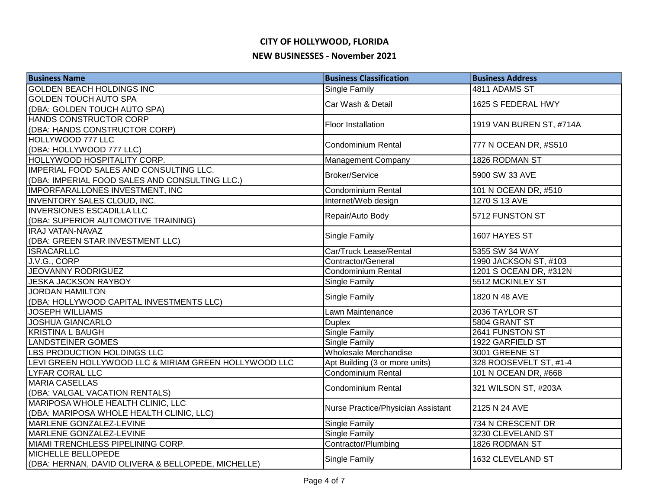| <b>Business Name</b>                                  | <b>Business Classification</b>     | <b>Business Address</b>  |
|-------------------------------------------------------|------------------------------------|--------------------------|
| <b>GOLDEN BEACH HOLDINGS INC</b>                      | <b>Single Family</b>               | 4811 ADAMS ST            |
| GOLDEN TOUCH AUTO SPA                                 | Car Wash & Detail                  |                          |
| (DBA: GOLDEN TOUCH AUTO SPA)                          |                                    | 1625 S FEDERAL HWY       |
| HANDS CONSTRUCTOR CORP                                | Floor Installation                 | 1919 VAN BUREN ST, #714A |
| (DBA: HANDS CONSTRUCTOR CORP)                         |                                    |                          |
| HOLLYWOOD 777 LLC                                     | <b>Condominium Rental</b>          | 777 N OCEAN DR, #S510    |
| (DBA: HOLLYWOOD 777 LLC)                              |                                    |                          |
| HOLLYWOOD HOSPITALITY CORP.                           | Management Company                 | 1826 RODMAN ST           |
| IMPERIAL FOOD SALES AND CONSULTING LLC.               | <b>Broker/Service</b>              | 5900 SW 33 AVE           |
| (DBA: IMPERIAL FOOD SALES AND CONSULTING LLC.)        |                                    |                          |
| IMPORFARALLONES INVESTMENT, INC                       | <b>Condominium Rental</b>          | 101 N OCEAN DR, #510     |
| INVENTORY SALES CLOUD, INC.                           | Internet/Web design                | 1270 S 13 AVE            |
| <b>INVERSIONES ESCADILLA LLC</b>                      | Repair/Auto Body                   | 5712 FUNSTON ST          |
| (DBA: SUPERIOR AUTOMOTIVE TRAINING)                   |                                    |                          |
| <b>IRAJ VATAN-NAVAZ</b>                               | Single Family                      | 1607 HAYES ST            |
| (DBA: GREEN STAR INVESTMENT LLC)                      |                                    |                          |
| <b>ISRACARLLC</b>                                     | Car/Truck Lease/Rental             | 5355 SW 34 WAY           |
| J.V.G., CORP                                          | Contractor/General                 | 1990 JACKSON ST, #103    |
| <b>JEOVANNY RODRIGUEZ</b>                             | Condominium Rental                 | 1201 S OCEAN DR, #312N   |
| <b>JESKA JACKSON RAYBOY</b>                           | <b>Single Family</b>               | 5512 MCKINLEY ST         |
| <b>JORDAN HAMILTON</b>                                | <b>Single Family</b>               | 1820 N 48 AVE            |
| (DBA: HOLLYWOOD CAPITAL INVESTMENTS LLC)              |                                    |                          |
| <b>JOSEPH WILLIAMS</b>                                | Lawn Maintenance                   | 2036 TAYLOR ST           |
| <b>JOSHUA GIANCARLO</b>                               | <b>Duplex</b>                      | 5804 GRANT ST            |
| <b>KRISTINA L BAUGH</b>                               | <b>Single Family</b>               | 2641 FUNSTON ST          |
| <b>LANDSTEINER GOMES</b>                              | Single Family                      | 1922 GARFIELD ST         |
| LBS PRODUCTION HOLDINGS LLC                           | <b>Wholesale Merchandise</b>       | 3001 GREENE ST           |
| LEVI GREEN HOLLYWOOD LLC & MIRIAM GREEN HOLLYWOOD LLC | Apt Building (3 or more units)     | 328 ROOSEVELT ST, #1-4   |
| <b>LYFAR CORAL LLC</b>                                | Condominium Rental                 | 101 N OCEAN DR, #668     |
| <b>MARIA CASELLAS</b>                                 | Condominium Rental                 | 321 WILSON ST, #203A     |
| (DBA: VALGAL VACATION RENTALS)                        |                                    |                          |
| MARIPOSA WHOLE HEALTH CLINIC, LLC                     | Nurse Practice/Physician Assistant | 2125 N 24 AVE            |
| (DBA: MARIPOSA WHOLE HEALTH CLINIC, LLC)              |                                    |                          |
| MARLENE GONZALEZ-LEVINE                               | Single Family                      | 734 N CRESCENT DR        |
| MARLENE GONZALEZ-LEVINE                               | <b>Single Family</b>               | 3230 CLEVELAND ST        |
| MIAMI TRENCHLESS PIPELINING CORP.                     | Contractor/Plumbing                | 1826 RODMAN ST           |
| MICHELLE BELLOPEDE                                    | <b>Single Family</b>               | 1632 CLEVELAND ST        |
| (DBA: HERNAN, DAVID OLIVERA & BELLOPEDE, MICHELLE)    |                                    |                          |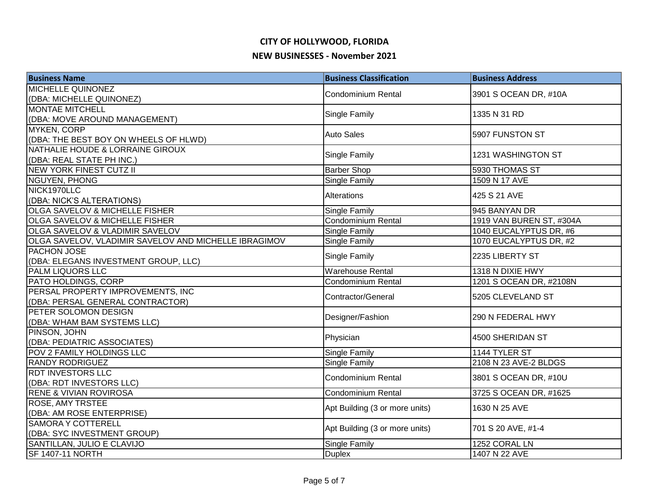| <b>Business Name</b>                                  | <b>Business Classification</b> | <b>Business Address</b>  |
|-------------------------------------------------------|--------------------------------|--------------------------|
| <b>MICHELLE QUINONEZ</b>                              | <b>Condominium Rental</b>      | 3901 S OCEAN DR, #10A    |
| (DBA: MICHELLE QUINONEZ)                              |                                |                          |
| <b>MONTAE MITCHELL</b>                                | Single Family                  | 1335 N 31 RD             |
| (DBA: MOVE AROUND MANAGEMENT)                         |                                |                          |
| <b>MYKEN, CORP</b>                                    | <b>Auto Sales</b>              | 5907 FUNSTON ST          |
| (DBA: THE BEST BOY ON WHEELS OF HLWD)                 |                                |                          |
| NATHALIE HOUDE & LORRAINE GIROUX                      | Single Family                  | 1231 WASHINGTON ST       |
| (DBA: REAL STATE PH INC.)                             |                                |                          |
| <b>NEW YORK FINEST CUTZ II</b>                        | <b>Barber Shop</b>             | 5930 THOMAS ST           |
| <b>NGUYEN, PHONG</b>                                  | Single Family                  | 1509 N 17 AVE            |
| NICK1970LLC                                           | Alterations                    | 425 S 21 AVE             |
| (DBA: NICK'S ALTERATIONS)                             |                                |                          |
| OLGA SAVELOV & MICHELLE FISHER                        | Single Family                  | 945 BANYAN DR            |
| OLGA SAVELOV & MICHELLE FISHER                        | <b>Condominium Rental</b>      | 1919 VAN BUREN ST, #304A |
| OLGA SAVELOV & VLADIMIR SAVELOV                       | Single Family                  | 1040 EUCALYPTUS DR, #6   |
| OLGA SAVELOV, VLADIMIR SAVELOV AND MICHELLE IBRAGIMOV | Single Family                  | 1070 EUCALYPTUS DR, #2   |
| PACHON JOSE                                           | Single Family                  | 2235 LIBERTY ST          |
| (DBA: ELEGANS INVESTMENT GROUP, LLC)                  |                                |                          |
| <b>PALM LIQUORS LLC</b>                               | Warehouse Rental               | 1318 N DIXIE HWY         |
| PATO HOLDINGS, CORP                                   | Condominium Rental             | 1201 S OCEAN DR, #2108N  |
| PERSAL PROPERTY IMPROVEMENTS, INC                     | Contractor/General             | 5205 CLEVELAND ST        |
| (DBA: PERSAL GENERAL CONTRACTOR)                      |                                |                          |
| PETER SOLOMON DESIGN                                  | Designer/Fashion               | 290 N FEDERAL HWY        |
| (DBA: WHAM BAM SYSTEMS LLC)                           |                                |                          |
| PINSON, JOHN                                          | Physician                      | 4500 SHERIDAN ST         |
| (DBA: PEDIATRIC ASSOCIATES)                           |                                |                          |
| POV 2 FAMILY HOLDINGS LLC                             | Single Family                  | 1144 TYLER ST            |
| <b>RANDY RODRIGUEZ</b>                                | Single Family                  | 2108 N 23 AVE-2 BLDGS    |
| <b>RDT INVESTORS LLC</b>                              | <b>Condominium Rental</b>      | 3801 S OCEAN DR, #10U    |
| (DBA: RDT INVESTORS LLC)                              |                                |                          |
| <b>RENE &amp; VIVIAN ROVIROSA</b>                     | Condominium Rental             | 3725 S OCEAN DR, #1625   |
| <b>ROSE, AMY TRSTEE</b>                               | Apt Building (3 or more units) | 1630 N 25 AVE            |
| (DBA: AM ROSE ENTERPRISE)                             |                                |                          |
| <b>SAMORA Y COTTERELL</b>                             | Apt Building (3 or more units) | 701 S 20 AVE, #1-4       |
| (DBA: SYC INVESTMENT GROUP)                           |                                |                          |
| SANTILLAN, JULIO E CLAVIJO                            | <b>Single Family</b>           | 1252 CORAL LN            |
| <b>SF 1407-11 NORTH</b>                               | <b>Duplex</b>                  | 1407 N 22 AVE            |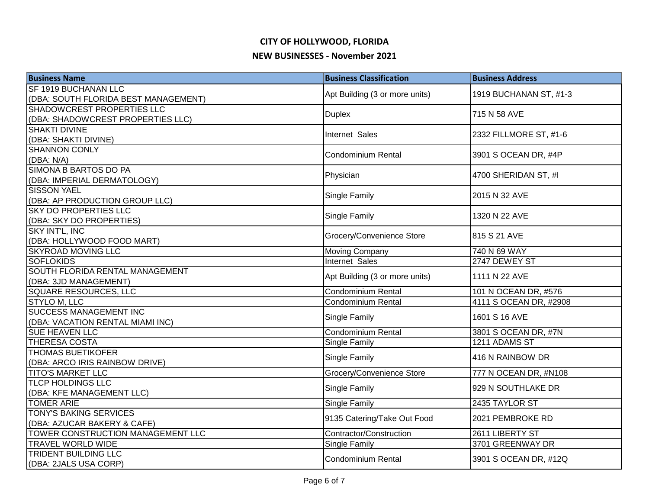| <b>Business Name</b>                              | <b>Business Classification</b> | <b>Business Address</b> |
|---------------------------------------------------|--------------------------------|-------------------------|
| SF 1919 BUCHANAN LLC                              | Apt Building (3 or more units) | 1919 BUCHANAN ST, #1-3  |
| (DBA: SOUTH FLORIDA BEST MANAGEMENT)              |                                |                         |
| SHADOWCREST PROPERTIES LLC                        | <b>Duplex</b>                  | 715 N 58 AVE            |
| (DBA: SHADOWCREST PROPERTIES LLC)                 |                                |                         |
| <b>SHAKTI DIVINE</b>                              | Internet Sales                 | 2332 FILLMORE ST, #1-6  |
| (DBA: SHAKTI DIVINE)                              |                                |                         |
| <b>SHANNON CONLY</b>                              | <b>Condominium Rental</b>      | 3901 S OCEAN DR, #4P    |
| (DBA: N/A)                                        |                                |                         |
| SIMONA B BARTOS DO PA                             | Physician                      | 4700 SHERIDAN ST, #I    |
| (DBA: IMPERIAL DERMATOLOGY)<br><b>SISSON YAEL</b> |                                |                         |
| (DBA: AP PRODUCTION GROUP LLC)                    | Single Family                  | 2015 N 32 AVE           |
| <b>SKY DO PROPERTIES LLC</b>                      |                                |                         |
| (DBA: SKY DO PROPERTIES)                          | Single Family                  | 1320 N 22 AVE           |
| SKY INT'L, INC                                    |                                |                         |
| (DBA: HOLLYWOOD FOOD MART)                        | Grocery/Convenience Store      | 815 S 21 AVE            |
| <b>SKYROAD MOVING LLC</b>                         | Moving Company                 | 740 N 69 WAY            |
| <b>SOFLOKIDS</b>                                  | Internet Sales                 | 2747 DEWEY ST           |
| SOUTH FLORIDA RENTAL MANAGEMENT                   |                                |                         |
| (DBA: 3JD MANAGEMENT)                             | Apt Building (3 or more units) | 1111 N 22 AVE           |
| SQUARE RESOURCES, LLC                             | <b>Condominium Rental</b>      | 101 N OCEAN DR, #576    |
| <b>STYLO M, LLC</b>                               | Condominium Rental             | 4111 S OCEAN DR, #2908  |
| <b>SUCCESS MANAGEMENT INC</b>                     |                                | 1601 S 16 AVE           |
| (DBA: VACATION RENTAL MIAMI INC)                  | Single Family                  |                         |
| <b>SUE HEAVEN LLC</b>                             | <b>Condominium Rental</b>      | 3801 S OCEAN DR, #7N    |
| <b>THERESA COSTA</b>                              | Single Family                  | 1211 ADAMS ST           |
| <b>THOMAS BUETIKOFER</b>                          | Single Family                  | 416 N RAINBOW DR        |
| (DBA: ARCO IRIS RAINBOW DRIVE)                    |                                |                         |
| <b>TITO'S MARKET LLC</b>                          | Grocery/Convenience Store      | 777 N OCEAN DR, #N108   |
| <b>TLCP HOLDINGS LLC</b>                          | Single Family                  | 929 N SOUTHLAKE DR      |
| (DBA: KFE MANAGEMENT LLC)                         |                                |                         |
| <b>TOMER ARIE</b>                                 | Single Family                  | 2435 TAYLOR ST          |
| <b>TONY'S BAKING SERVICES</b>                     | 9135 Catering/Take Out Food    | 2021 PEMBROKE RD        |
| (DBA: AZUCAR BAKERY & CAFE)                       |                                |                         |
| TOWER CONSTRUCTION MANAGEMENT LLC                 | Contractor/Construction        | 2611 LIBERTY ST         |
| <b>TRAVEL WORLD WIDE</b>                          | Single Family                  | 3701 GREENWAY DR        |
| TRIDENT BUILDING LLC                              | <b>Condominium Rental</b>      | 3901 S OCEAN DR, #12Q   |
| (DBA: 2JALS USA CORP)                             |                                |                         |